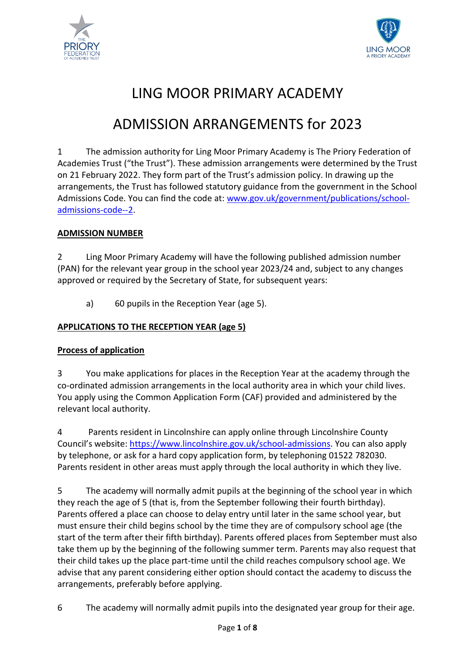



# LING MOOR PRIMARY ACADEMY

# ADMISSION ARRANGEMENTS for 2023

1 The admission authority for Ling Moor Primary Academy is The Priory Federation of Academies Trust ("the Trust"). These admission arrangements were determined by the Trust on 21 February 2022. They form part of the Trust's admission policy. In drawing up the arrangements, the Trust has followed statutory guidance from the government in the School Admissions Code. You can find the code at: [www.gov.uk/government/publications/school](http://www.gov.uk/government/publications/school-admissions-code--2)[admissions-code--2.](http://www.gov.uk/government/publications/school-admissions-code--2)

## **ADMISSION NUMBER**

2 Ling Moor Primary Academy will have the following published admission number (PAN) for the relevant year group in the school year 2023/24 and, subject to any changes approved or required by the Secretary of State, for subsequent years:

a) 60 pupils in the Reception Year (age 5).

## **APPLICATIONS TO THE RECEPTION YEAR (age 5)**

## **Process of application**

3 You make applications for places in the Reception Year at the academy through the co-ordinated admission arrangements in the local authority area in which your child lives. You apply using the Common Application Form (CAF) provided and administered by the relevant local authority.

4 Parents resident in Lincolnshire can apply online through Lincolnshire County Council's website: [https://www.lincolnshire.gov.uk/school-admissions.](https://www.lincolnshire.gov.uk/school-admissions) You can also apply by telephone, or ask for a hard copy application form, by telephoning 01522 782030. Parents resident in other areas must apply through the local authority in which they live.

5 The academy will normally admit pupils at the beginning of the school year in which they reach the age of 5 (that is, from the September following their fourth birthday). Parents offered a place can choose to delay entry until later in the same school year, but must ensure their child begins school by the time they are of compulsory school age (the start of the term after their fifth birthday). Parents offered places from September must also take them up by the beginning of the following summer term. Parents may also request that their child takes up the place part-time until the child reaches compulsory school age. We advise that any parent considering either option should contact the academy to discuss the arrangements, preferably before applying.

6 The academy will normally admit pupils into the designated year group for their age.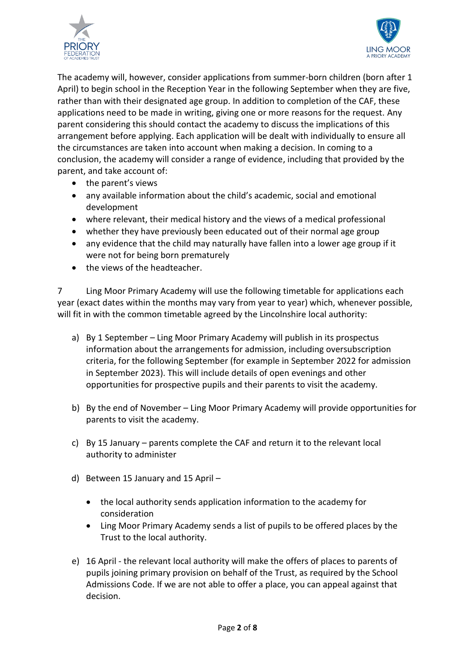



The academy will, however, consider applications from summer-born children (born after 1 April) to begin school in the Reception Year in the following September when they are five, rather than with their designated age group. In addition to completion of the CAF, these applications need to be made in writing, giving one or more reasons for the request. Any parent considering this should contact the academy to discuss the implications of this arrangement before applying. Each application will be dealt with individually to ensure all the circumstances are taken into account when making a decision. In coming to a conclusion, the academy will consider a range of evidence, including that provided by the parent, and take account of:

- the parent's views
- any available information about the child's academic, social and emotional development
- where relevant, their medical history and the views of a medical professional
- whether they have previously been educated out of their normal age group
- any evidence that the child may naturally have fallen into a lower age group if it were not for being born prematurely
- the views of the headteacher.

7 Ling Moor Primary Academy will use the following timetable for applications each year (exact dates within the months may vary from year to year) which, whenever possible, will fit in with the common timetable agreed by the Lincolnshire local authority:

- a) By 1 September Ling Moor Primary Academy will publish in its prospectus information about the arrangements for admission, including oversubscription criteria, for the following September (for example in September 2022 for admission in September 2023). This will include details of open evenings and other opportunities for prospective pupils and their parents to visit the academy.
- b) By the end of November Ling Moor Primary Academy will provide opportunities for parents to visit the academy.
- c) By 15 January parents complete the CAF and return it to the relevant local authority to administer
- d) Between 15 January and 15 April
	- the local authority sends application information to the academy for consideration
	- Ling Moor Primary Academy sends a list of pupils to be offered places by the Trust to the local authority.
- e) 16 April the relevant local authority will make the offers of places to parents of pupils joining primary provision on behalf of the Trust, as required by the School Admissions Code. If we are not able to offer a place, you can appeal against that decision.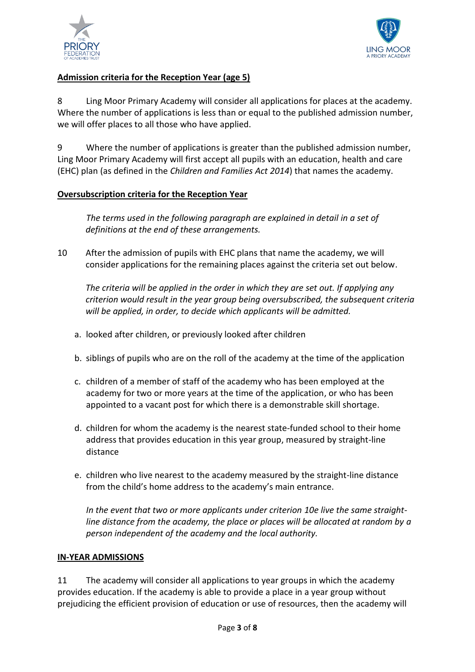



## **Admission criteria for the Reception Year (age 5)**

8 Ling Moor Primary Academy will consider all applications for places at the academy. Where the number of applications is less than or equal to the published admission number, we will offer places to all those who have applied.

9 Where the number of applications is greater than the published admission number, Ling Moor Primary Academy will first accept all pupils with an education, health and care (EHC) plan (as defined in the *Children and Families Act 2014*) that names the academy.

## **Oversubscription criteria for the Reception Year**

*The terms used in the following paragraph are explained in detail in a set of definitions at the end of these arrangements.*

10 After the admission of pupils with EHC plans that name the academy, we will consider applications for the remaining places against the criteria set out below.

*The criteria will be applied in the order in which they are set out. If applying any criterion would result in the year group being oversubscribed, the subsequent criteria will be applied, in order, to decide which applicants will be admitted.*

- a. looked after children, or previously looked after children
- b. siblings of pupils who are on the roll of the academy at the time of the application
- c. children of a member of staff of the academy who has been employed at the academy for two or more years at the time of the application, or who has been appointed to a vacant post for which there is a demonstrable skill shortage.
- d. children for whom the academy is the nearest state-funded school to their home address that provides education in this year group, measured by straight-line distance
- e. children who live nearest to the academy measured by the straight-line distance from the child's home address to the academy's main entrance.

*In the event that two or more applicants under criterion 10e live the same straightline distance from the academy, the place or places will be allocated at random by a person independent of the academy and the local authority.*

## **IN-YEAR ADMISSIONS**

11 The academy will consider all applications to year groups in which the academy provides education. If the academy is able to provide a place in a year group without prejudicing the efficient provision of education or use of resources, then the academy will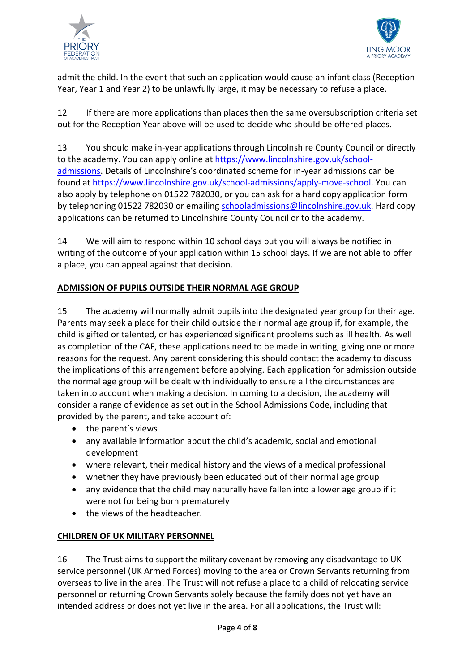



admit the child. In the event that such an application would cause an infant class (Reception Year, Year 1 and Year 2) to be unlawfully large, it may be necessary to refuse a place.

12 If there are more applications than places then the same oversubscription criteria set out for the Reception Year above will be used to decide who should be offered places.

13 You should make in-year applications through Lincolnshire County Council or directly to the academy. You can apply online at [https://www.lincolnshire.gov.uk/school](https://www.lincolnshire.gov.uk/school-admissions)[admissions](https://www.lincolnshire.gov.uk/school-admissions). Details of Lincolnshire's coordinated scheme for in-year admissions can be found at [https://www.lincolnshire.gov.uk/school-admissions/apply-move-school.](https://www.lincolnshire.gov.uk/school-admissions/apply-move-school) You can also apply by telephone on 01522 782030, or you can ask for a hard copy application form by telephoning 01522 782030 or emailin[g schooladmissions@lincolnshire.gov.uk.](mailto:schooladmissions@lincolnshire.gov.uk) Hard copy applications can be returned to Lincolnshire County Council or to the academy.

14 We will aim to respond within 10 school days but you will always be notified in writing of the outcome of your application within 15 school days. If we are not able to offer a place, you can appeal against that decision.

## **ADMISSION OF PUPILS OUTSIDE THEIR NORMAL AGE GROUP**

15 The academy will normally admit pupils into the designated year group for their age. Parents may seek a place for their child outside their normal age group if, for example, the child is gifted or talented, or has experienced significant problems such as ill health. As well as completion of the CAF, these applications need to be made in writing, giving one or more reasons for the request. Any parent considering this should contact the academy to discuss the implications of this arrangement before applying. Each application for admission outside the normal age group will be dealt with individually to ensure all the circumstances are taken into account when making a decision. In coming to a decision, the academy will consider a range of evidence as set out in the School Admissions Code, including that provided by the parent, and take account of:

- $\bullet$  the parent's views
- any available information about the child's academic, social and emotional development
- where relevant, their medical history and the views of a medical professional
- whether they have previously been educated out of their normal age group
- any evidence that the child may naturally have fallen into a lower age group if it were not for being born prematurely
- the views of the headteacher.

## **CHILDREN OF UK MILITARY PERSONNEL**

16 The Trust aims to support the military covenant by removing any disadvantage to UK service personnel (UK Armed Forces) moving to the area or Crown Servants returning from overseas to live in the area. The Trust will not refuse a place to a child of relocating service personnel or returning Crown Servants solely because the family does not yet have an intended address or does not yet live in the area. For all applications, the Trust will: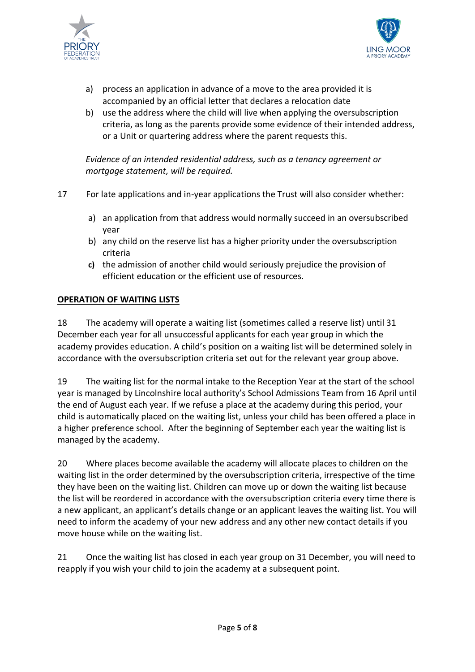



- a) process an application in advance of a move to the area provided it is accompanied by an official letter that declares a relocation date
- b) use the address where the child will live when applying the oversubscription criteria, as long as the parents provide some evidence of their intended address, or a Unit or quartering address where the parent requests this.

*Evidence of an intended residential address, such as a tenancy agreement or mortgage statement, will be required.* 

- 17 For late applications and in-year applications the Trust will also consider whether:
	- a) an application from that address would normally succeed in an oversubscribed year
	- b) any child on the reserve list has a higher priority under the oversubscription criteria
	- **c)** the admission of another child would seriously prejudice the provision of efficient education or the efficient use of resources.

## **OPERATION OF WAITING LISTS**

18 The academy will operate a waiting list (sometimes called a reserve list) until 31 December each year for all unsuccessful applicants for each year group in which the academy provides education. A child's position on a waiting list will be determined solely in accordance with the oversubscription criteria set out for the relevant year group above.

19 The waiting list for the normal intake to the Reception Year at the start of the school year is managed by Lincolnshire local authority's School Admissions Team from 16 April until the end of August each year. If we refuse a place at the academy during this period, your child is automatically placed on the waiting list, unless your child has been offered a place in a higher preference school. After the beginning of September each year the waiting list is managed by the academy.

20 Where places become available the academy will allocate places to children on the waiting list in the order determined by the oversubscription criteria, irrespective of the time they have been on the waiting list. Children can move up or down the waiting list because the list will be reordered in accordance with the oversubscription criteria every time there is a new applicant, an applicant's details change or an applicant leaves the waiting list. You will need to inform the academy of your new address and any other new contact details if you move house while on the waiting list.

21 Once the waiting list has closed in each year group on 31 December, you will need to reapply if you wish your child to join the academy at a subsequent point.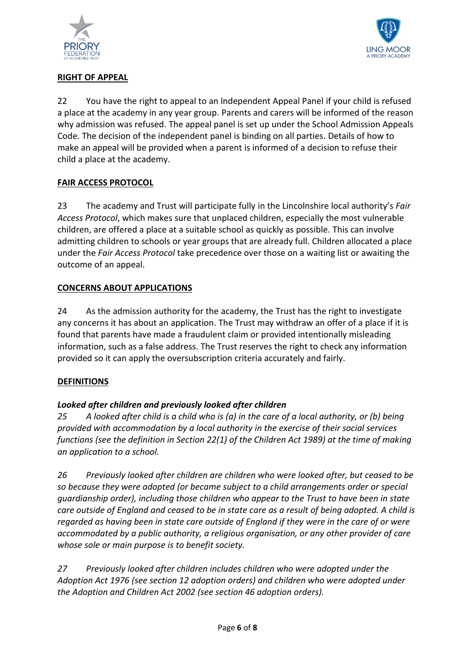



## **RIGHT OF APPEAL**

22 You have the right to appeal to an Independent Appeal Panel if your child is refused a place at the academy in any year group. Parents and carers will be informed of the reason why admission was refused. The appeal panel is set up under the School Admission Appeals Code. The decision of the independent panel is binding on all parties. Details of how to make an appeal will be provided when a parent is informed of a decision to refuse their child a place at the academy.

## **FAIR ACCESS PROTOCOL**

23 The academy and Trust will participate fully in the Lincolnshire local authority's *Fair Access Protocol*, which makes sure that unplaced children, especially the most vulnerable children, are offered a place at a suitable school as quickly as possible. This can involve admitting children to schools or year groups that are already full. Children allocated a place under the *Fair Access Protocol* take precedence over those on a waiting list or awaiting the outcome of an appeal.

## **CONCERNS ABOUT APPLICATIONS**

24 As the admission authority for the academy, the Trust has the right to investigate any concerns it has about an application. The Trust may withdraw an offer of a place if it is found that parents have made a fraudulent claim or provided intentionally misleading information, such as a false address. The Trust reserves the right to check any information provided so it can apply the oversubscription criteria accurately and fairly.

## **DEFINITIONS**

## *Looked after children and previously looked after children*

*25 A looked after child is a child who is (a) in the care of a local authority, or (b) being provided with accommodation by a local authority in the exercise of their social services functions (see the definition in Section 22(1) of the Children Act 1989) at the time of making an application to a school.*

*26 Previously looked after children are children who were looked after, but ceased to be so because they were adopted (or became subject to a child arrangements order or special guardianship order), including those children who appear to the Trust to have been in state care outside of England and ceased to be in state care as a result of being adopted. A child is regarded as having been in state care outside of England if they were in the care of or were accommodated by a public authority, a religious organisation, or any other provider of care whose sole or main purpose is to benefit society.*

*27 Previously looked after children includes children who were adopted under the Adoption Act 1976 (see section 12 adoption orders) and children who were adopted under the Adoption and Children Act 2002 (see section 46 adoption orders).*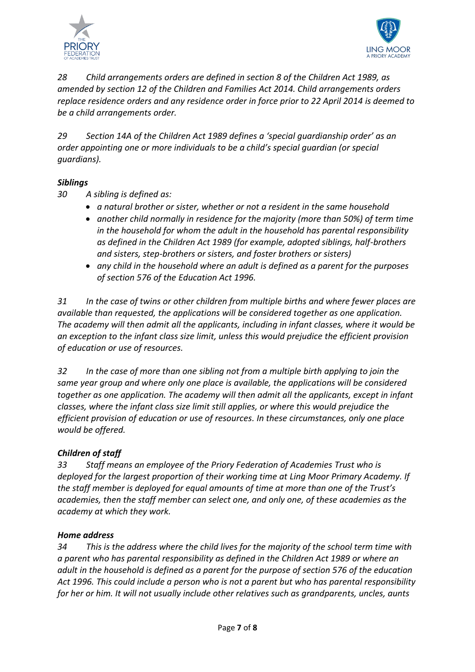



*28 Child arrangements orders are defined in section 8 of the Children Act 1989, as amended by section 12 of the Children and Families Act 2014. Child arrangements orders replace residence orders and any residence order in force prior to 22 April 2014 is deemed to be a child arrangements order.* 

*29 Section 14A of the Children Act 1989 defines a 'special guardianship order' as an order appointing one or more individuals to be a child's special guardian (or special guardians).*

## *Siblings*

*30 A sibling is defined as:*

- *a natural brother or sister, whether or not a resident in the same household*
- *another child normally in residence for the majority (more than 50%) of term time in the household for whom the adult in the household has parental responsibility as defined in the Children Act 1989 (for example, adopted siblings, half-brothers and sisters, step-brothers or sisters, and foster brothers or sisters)*
- *any child in the household where an adult is defined as a parent for the purposes of section 576 of the Education Act 1996.*

*31 In the case of twins or other children from multiple births and where fewer places are available than requested, the applications will be considered together as one application. The academy will then admit all the applicants, including in infant classes, where it would be an exception to the infant class size limit, unless this would prejudice the efficient provision of education or use of resources.*

*32 In the case of more than one sibling not from a multiple birth applying to join the same year group and where only one place is available, the applications will be considered together as one application. The academy will then admit all the applicants, except in infant classes, where the infant class size limit still applies, or where this would prejudice the efficient provision of education or use of resources. In these circumstances, only one place would be offered.*

## *Children of staff*

*33 Staff means an employee of the Priory Federation of Academies Trust who is deployed for the largest proportion of their working time at Ling Moor Primary Academy. If the staff member is deployed for equal amounts of time at more than one of the Trust's academies, then the staff member can select one, and only one, of these academies as the academy at which they work.*

#### *Home address*

*34 This is the address where the child lives for the majority of the school term time with a parent who has parental responsibility as defined in the Children Act 1989 or where an adult in the household is defined as a parent for the purpose of section 576 of the education Act 1996. This could include a person who is not a parent but who has parental responsibility for her or him. It will not usually include other relatives such as grandparents, uncles, aunts*